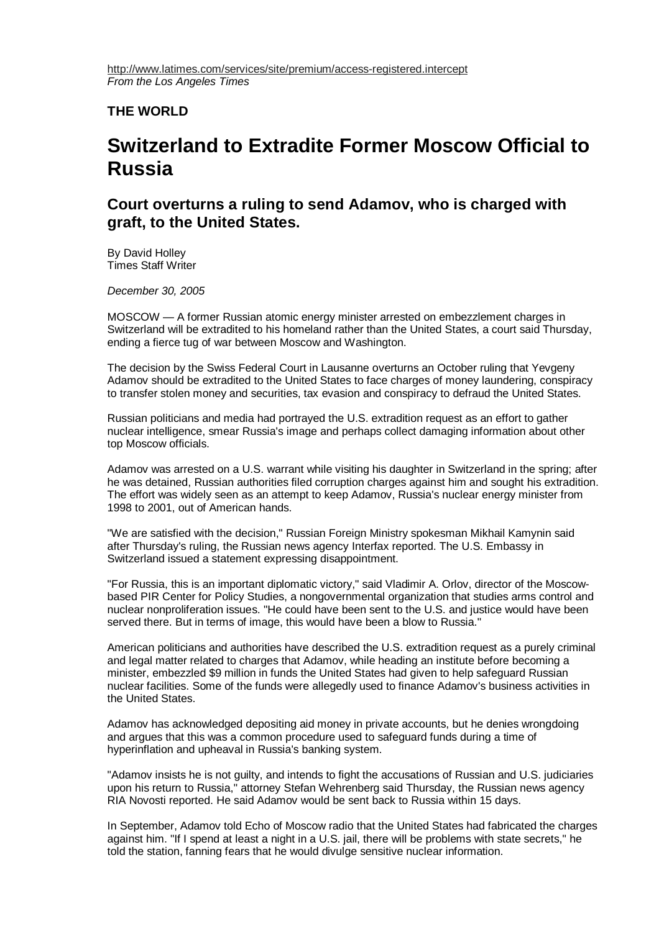## **THE WORLD**

## **Switzerland to Extradite Former Moscow Official to Russia**

## **Court overturns a ruling to send Adamov, who is charged with graft, to the United States.**

By David Holley Times Staff Writer

*December 30, 2005*

MOSCOW — A former Russian atomic energy minister arrested on embezzlement charges in Switzerland will be extradited to his homeland rather than the United States, a court said Thursday, ending a fierce tug of war between Moscow and Washington.

The decision by the Swiss Federal Court in Lausanne overturns an October ruling that Yevgeny Adamov should be extradited to the United States to face charges of money laundering, conspiracy to transfer stolen money and securities, tax evasion and conspiracy to defraud the United States.

Russian politicians and media had portrayed the U.S. extradition request as an effort to gather nuclear intelligence, smear Russia's image and perhaps collect damaging information about other top Moscow officials.

Adamov was arrested on a U.S. warrant while visiting his daughter in Switzerland in the spring; after he was detained, Russian authorities filed corruption charges against him and sought his extradition. The effort was widely seen as an attempt to keep Adamov, Russia's nuclear energy minister from 1998 to 2001, out of American hands.

"We are satisfied with the decision," Russian Foreign Ministry spokesman Mikhail Kamynin said after Thursday's ruling, the Russian news agency Interfax reported. The U.S. Embassy in Switzerland issued a statement expressing disappointment.

"For Russia, this is an important diplomatic victory," said Vladimir A. Orlov, director of the Moscowbased PIR Center for Policy Studies, a nongovernmental organization that studies arms control and nuclear nonproliferation issues. "He could have been sent to the U.S. and justice would have been served there. But in terms of image, this would have been a blow to Russia."

American politicians and authorities have described the U.S. extradition request as a purely criminal and legal matter related to charges that Adamov, while heading an institute before becoming a minister, embezzled \$9 million in funds the United States had given to help safeguard Russian nuclear facilities. Some of the funds were allegedly used to finance Adamov's business activities in the United States.

Adamov has acknowledged depositing aid money in private accounts, but he denies wrongdoing and argues that this was a common procedure used to safeguard funds during a time of hyperinflation and upheaval in Russia's banking system.

"Adamov insists he is not guilty, and intends to fight the accusations of Russian and U.S. judiciaries upon his return to Russia," attorney Stefan Wehrenberg said Thursday, the Russian news agency RIA Novosti reported. He said Adamov would be sent back to Russia within 15 days.

In September, Adamov told Echo of Moscow radio that the United States had fabricated the charges against him. "If I spend at least a night in a U.S. jail, there will be problems with state secrets," he told the station, fanning fears that he would divulge sensitive nuclear information.